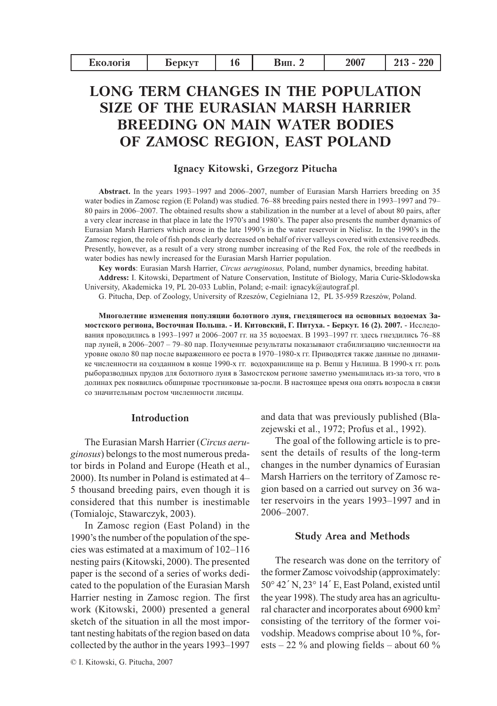| Екологія | <b>Depryt</b> | Вип. | 2007 | 220<br>949 |
|----------|---------------|------|------|------------|
|          |               |      |      |            |

# **LONG TERM CHANGES IN THE POPULATION SIZE OF THE EURASIAN MARSH HARRIER BREEDING ON MAIN WATER BODIES** OF ZAMOSC REGION, EAST POLAND

## Ignacy Kitowski, Grzegorz Pitucha

Abstract. In the years 1993–1997 and 2006–2007, number of Eurasian Marsh Harriers breeding on 35 water bodies in Zamosc region (E Poland) was studied. 76–88 breeding pairs nested there in 1993–1997 and 79– 80 pairs in 2006–2007. The obtained results show a stabilization in the number at a level of about 80 pairs, after a very clear increase in that place in late the 1970's and 1980's. The paper also presents the number dynamics of Eurasian Marsh Harriers which arose in the late 1990's in the water reservoir in Nielisz. In the 1990's in the Zamosc region, the role of fish ponds clearly decreased on behalf of river valleys covered with extensive reedbeds. Presently, however, as a result of a very strong number increasing of the Red Fox, the role of the reedbeds in water bodies has newly increased for the Eurasian Marsh Harrier population.

Key words: Eurasian Marsh Harrier, Circus aeruginosus, Poland, number dynamics, breeding habitat.

Address: I. Kitowski, Department of Nature Conservation, Institute of Biology, Maria Curie-Sklodowska University, Akademicka 19, PL 20-033 Lublin, Poland; e-mail: ignacyk@autograf.pl.

G. Pitucha, Dep. of Zoology, University of Rzeszów, Cegielniana 12, PL 35-959 Rzeszów, Poland.

Многолетние изменения популяции болотного луня, гнездящегося на основных водоемах Замостского региона, Восточная Польша. - И. Китовский, Г. Питуха. - Беркут. 16 (2). 2007. - Исследования проводились в 1993-1997 и 2006-2007 гг. на 35 водоемах. В 1993-1997 гг. здесь гнездились 76-88 пар луней, в 2006-2007 - 79-80 пар. Полученные результаты показывают стабилизацию численности на уровне около 80 пар после выраженного ее роста в 1970-1980-х гг. Приводятся также данные по динамике численности на созданном в конце 1990-х гг. водохранилище на р. Вепш у Нилиша. В 1990-х гг. роль рыборазводных прудов для болотного луня в Замостском регионе заметно уменьшилась из-за того, что в долинах рек появились обширные тростниковые за-росли. В настоящее время она опять возросла в связи со значительным ростом численности лисицы.

## Introduction

The Eurasian Marsh Harrier (Circus aeru*ginosus*) belongs to the most numerous predator birds in Poland and Europe (Heath et al., 2000). Its number in Poland is estimated at 4– 5 thousand breeding pairs, even though it is considered that this number is inestimable (Tomialojc, Stawarczyk, 2003).

In Zamosc region (East Poland) in the 1990's the number of the population of the species was estimated at a maximum of 102-116 nesting pairs (Kitowski, 2000). The presented paper is the second of a series of works dedicated to the population of the Eurasian Marsh Harrier nesting in Zamosc region. The first work (Kitowski, 2000) presented a general sketch of the situation in all the most important nesting habitats of the region based on data collected by the author in the years 1993-1997 and data that was previously published (Blazejewski et al., 1972; Profus et al., 1992).

The goal of the following article is to present the details of results of the long-term changes in the number dynamics of Eurasian Marsh Harriers on the territory of Zamosc region based on a carried out survey on 36 water reservoirs in the years 1993–1997 and in 2006-2007.

#### **Study Area and Methods**

The research was done on the territory of the former Zamosc voivodship (approximately: 50° 42' N, 23° 14' E, East Poland, existed until the year 1998). The study area has an agricultural character and incorporates about 6900 km<sup>2</sup> consisting of the territory of the former voivodship. Meadows comprise about 10 %, forests – 22 % and plowing fields – about 60 %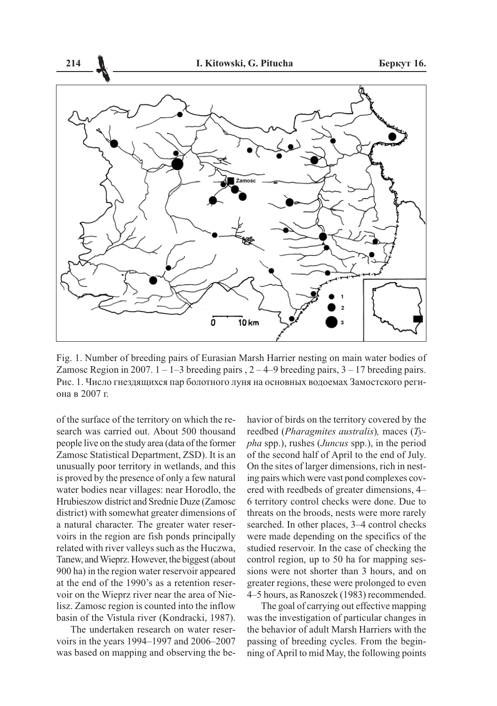

Fig. 1. Number of breeding pairs of Eurasian Marsh Harrier nesting on main water bodies of Zamosc Region in 2007.  $1 - 1 - 3$  breeding pairs,  $2 - 4 - 9$  breeding pairs,  $3 - 17$  breeding pairs. Рис. 1. Число гнездящихся пар болотного луня на основных водоемах Замостского региона в 2007 г.

of the surface of the territory on which the research was carried out. About 500 thousand people live on the study area (data of the former Zamosc Statistical Department, ZSD). It is an unusually poor territory in wetlands, and this is proved by the presence of only a few natural water bodies near villages: near Horodlo, the Hrubieszow district and Srednie Duze (Zamosc district) with somewhat greater dimensions of a natural character. The greater water reservoirs in the region are fish ponds principally related with river valleys such as the Huczwa, Tanew, and Wieprz. However, the biggest (about 900 ha) in the region water reservoir appeared at the end of the 1990's as a retention reservoir on the Wieprz river near the area of Nielisz. Zamosc region is counted into the inflow basin of the Vistula river (Kondracki, 1987).

The undertaken research on water reservoirs in the years 1994–1997 and 2006–2007 was based on mapping and observing the be-

havior of birds on the territory covered by the reedbed (Pharagmites australis), maces (Ty*pha* spp.), rushes (*Juncus* spp.), in the period of the second half of April to the end of July. On the sites of larger dimensions, rich in nesting pairs which were vast pond complexes covered with reedbeds of greater dimensions, 4– 6 territory control checks were done. Due to threats on the broods, nests were more rarely searched. In other places, 3–4 control checks were made depending on the specifics of the studied reservoir. In the case of checking the control region, up to 50 ha for mapping sessions were not shorter than 3 hours, and on greater regions, these were prolonged to even 4–5 hours, as Ranoszek (1983) recommended.

The goal of carrying out effective mapping was the investigation of particular changes in the behavior of adult Marsh Harriers with the passing of breeding cycles. From the beginning of April to mid May, the following points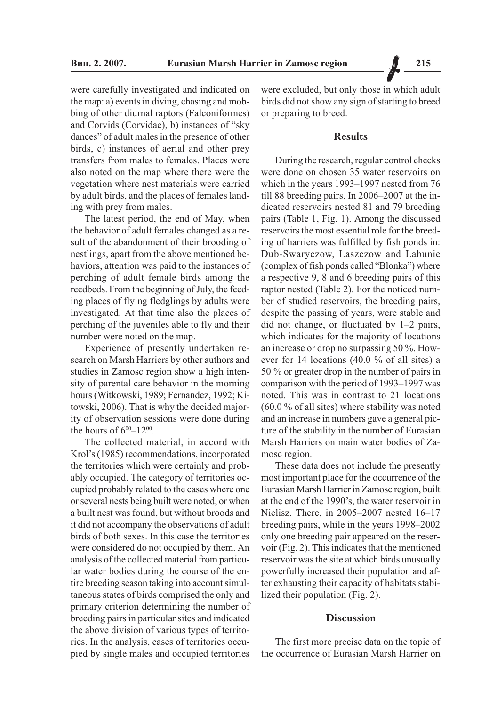were carefully investigated and indicated on the map: a) events in diving, chasing and mobbing of other diurnal raptors (Falconiformes) and Corvids (Corvidae), b) instances of "sky dances" of adult males in the presence of other birds, c) instances of aerial and other prev transfers from males to females. Places were also noted on the man where there were the vegetation where nest materials were carried by adult birds, and the places of females landing with prey from males.

The latest period, the end of May, when the behavior of adult females changed as a result of the abandonment of their brooding of nestlings, apart from the above mentioned behaviors, attention was paid to the instances of perching of adult female birds among the reedbeds. From the beginning of July, the feeding places of flying fledglings by adults were investigated. At that time also the places of perching of the juveniles able to fly and their number were noted on the map.

Experience of presently undertaken research on Marsh Harriers by other authors and studies in Zamosc region show a high intensity of parental care behavior in the morning hours (Witkowski, 1989; Fernandez, 1992; Kitowski, 2006). That is why the decided majority of observation sessions were done during the hours of  $6^{00} - 12^{00}$ .

The collected material, in accord with Krol's (1985) recommendations, incorporated the territories which were certainly and probably occupied. The category of territories occupied probably related to the cases where one or several nests being built were noted, or when a built nest was found, but without broods and it did not accompany the observations of adult birds of both sexes. In this case the territories were considered do not occupied by them. An analysis of the collected material from particular water bodies during the course of the entire breeding season taking into account simultaneous states of birds comprised the only and primary criterion determining the number of breeding pairs in particular sites and indicated the above division of various types of territories. In the analysis, cases of territories occupied by single males and occupied territories

were excluded, but only those in which adult birds did not show any sign of starting to breed or preparing to breed.

## **Results**

During the research, regular control checks were done on chosen 35 water reservoirs on which in the years 1993–1997 nested from 76 till 88 breeding pairs. In 2006–2007 at the indicated reservoirs nested 81 and 79 breeding pairs (Table 1, Fig. 1). Among the discussed reservoirs the most essential role for the breeding of harriers was fulfilled by fish ponds in: Dub-Swaryczow, Laszczow and Labunie (complex of fish ponds called "Blonka") where a respective 9, 8 and 6 breeding pairs of this raptor nested (Table 2). For the noticed number of studied reservoirs, the breeding pairs, despite the passing of years, were stable and did not change, or fluctuated by  $1-2$  pairs, which indicates for the majority of locations an increase or drop no surpassing 50 %. However for 14 locations  $(40.0 %$  of all sites) a 50 % or greater drop in the number of pairs in comparison with the period of 1993–1997 was noted. This was in contrast to 21 locations  $(60.0\%$  of all sites) where stability was noted and an increase in numbers gave a general picture of the stability in the number of Eurasian Marsh Harriers on main water bodies of Zamosc region.

These data does not include the presently most important place for the occurrence of the Eurasian Marsh Harrier in Zamosc region, built at the end of the 1990's, the water reservoir in Nielisz. There, in 2005-2007 nested 16-17 breeding pairs, while in the years 1998–2002 only one breeding pair appeared on the reservoir (Fig. 2). This indicates that the mentioned reservoir was the site at which birds unusually powerfully increased their population and after exhausting their capacity of habitats stabilized their population (Fig. 2).

#### **Discussion**

The first more precise data on the topic of the occurrence of Eurasian Marsh Harrier on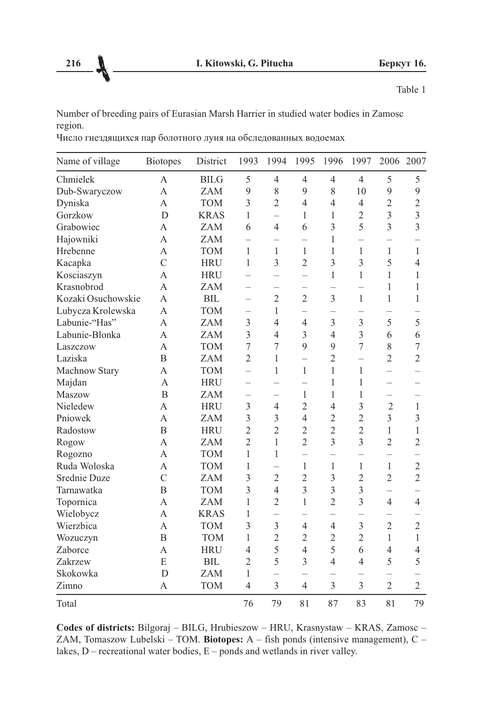Table 1

Number of breeding pairs of Eurasian Marsh Harrier in studied water bodies in Zamosc region.

|  | Число гнездящихся пар болотного луня на обследованных водоемах |
|--|----------------------------------------------------------------|
|--|----------------------------------------------------------------|

| Name of village    | <b>Biotopes</b>  | District    | 1993                     | 1994                     | 1995                     | 1996                     | 1997                     | 2006                     | 2007           |
|--------------------|------------------|-------------|--------------------------|--------------------------|--------------------------|--------------------------|--------------------------|--------------------------|----------------|
| Chmielek           | A                | <b>BILG</b> | 5                        | $\overline{4}$           | $\overline{4}$           | $\overline{4}$           | $\overline{4}$           | 5                        | 5              |
| Dub-Swaryczow      | A                | <b>ZAM</b>  | 9                        | 8                        | 9                        | $\,$ 8 $\,$              | 10                       | 9                        | 9              |
| Dyniska            | A                | <b>TOM</b>  | 3                        | $\overline{2}$           | $\overline{4}$           | $\overline{4}$           | $\overline{4}$           | $\overline{2}$           | $\overline{2}$ |
| Gorzkow            | D                | <b>KRAS</b> | 1                        | $\overline{\phantom{0}}$ | $\mathbf{1}$             | 1                        | $\overline{2}$           | $\overline{3}$           | $\overline{3}$ |
| Grabowiec          | A                | <b>ZAM</b>  | 6                        | $\overline{4}$           | 6                        | $\overline{3}$           | 5                        | $\overline{3}$           | $\overline{3}$ |
| Hajowniki          | A                | <b>ZAM</b>  | $\overline{\phantom{0}}$ | $\overline{\phantom{0}}$ | $\equiv$                 | 1                        | $\overline{\phantom{0}}$ | $\equiv$                 |                |
| Hrebenne           | $\overline{A}$   | <b>TOM</b>  | $\mathbf{1}$             | $\mathbf{1}$             | $\mathbf{1}$             | 1                        | 1                        | 1                        | $\mathbf{1}$   |
| Kacapka            | $\mathcal{C}$    | <b>HRU</b>  | $\mathbf{1}$             | $\overline{3}$           | $\overline{2}$           | 3                        | $\overline{3}$           | 5                        | $\overline{4}$ |
| Kosciaszyn         | A                | <b>HRU</b>  | $\overline{\phantom{0}}$ | $\overline{\phantom{0}}$ | $\overline{\phantom{0}}$ | 1                        | 1                        | 1                        | 1              |
| Krasnobrod         | $\overline{A}$   | <b>ZAM</b>  |                          |                          | $\overline{\phantom{0}}$ | $\overline{\phantom{0}}$ |                          | 1                        | 1              |
| Kozaki Osuchowskie | A                | <b>BIL</b>  | $\overline{\phantom{0}}$ | $\overline{2}$           | $\overline{2}$           | 3                        | $\mathbf{1}$             | $\mathbf{1}$             | 1              |
| Lubycza Krolewska  | $\overline{A}$   | <b>TOM</b>  | $\equiv$                 | 1                        |                          | $\qquad \qquad -$        | $\overline{\phantom{0}}$ | $\overline{\phantom{0}}$ |                |
| Labunie-"Has"      | $\overline{A}$   | <b>ZAM</b>  | $\overline{3}$           | $\overline{4}$           | $\overline{4}$           | $\overline{3}$           | $\overline{3}$           | 5                        | 5              |
| Labunie-Blonka     | A                | <b>ZAM</b>  | 3                        | $\overline{4}$           | 3                        | $\overline{4}$           | $\overline{3}$           | 6                        | 6              |
| Laszczow           | $\overline{A}$   | <b>TOM</b>  | $\overline{7}$           | $\overline{7}$           | 9                        | 9                        | $\overline{7}$           | 8                        | $\overline{7}$ |
| Laziska            | B                | <b>ZAM</b>  | $\overline{2}$           | $\mathbf{1}$             | $\equiv$                 | $\overline{2}$           | $\overline{\phantom{0}}$ | $\overline{2}$           | $\overline{2}$ |
| Machnow Stary      | A                | <b>TOM</b>  | $\overline{\phantom{0}}$ | 1                        | $\mathbf{1}$             | 1                        | 1                        | $\overline{a}$           |                |
| Majdan             | $\overline{A}$   | <b>HRU</b>  | $\overline{\phantom{0}}$ |                          |                          | 1                        | 1                        | $\equiv$                 |                |
| Maszow             | $\overline{B}$   | <b>ZAM</b>  |                          |                          | $\mathbf{1}$             | 1                        | $\mathbf{1}$             |                          |                |
| Nieledew           | А                | <b>HRU</b>  | $\overline{3}$           | $\overline{4}$           | $\overline{2}$           | $\overline{4}$           | 3                        | $\overline{c}$           | $\mathbf{1}$   |
| Pniowek            | A                | <b>ZAM</b>  | $\overline{3}$           | $\overline{3}$           | $\overline{4}$           | $\overline{2}$           | $\overline{2}$           | $\overline{3}$           | $\overline{3}$ |
| Radostow           | B                | <b>HRU</b>  | $\overline{2}$           | $\overline{2}$           | $\overline{2}$           | $\overline{2}$           | $\overline{2}$           | $\mathbf{1}$             | $\mathbf{1}$   |
| Rogow              | A                | <b>ZAM</b>  | $\overline{2}$           | 1                        | $\overline{2}$           | $\overline{3}$           | $\overline{3}$           | $\overline{2}$           | $\overline{2}$ |
| Rogozno            | A                | <b>TOM</b>  | $\mathbf{1}$             | 1                        | $\overline{\phantom{0}}$ | $\equiv$                 | $\overline{\phantom{0}}$ | $\overline{\phantom{0}}$ |                |
| Ruda Woloska       | A                | <b>TOM</b>  | 1                        |                          | $\mathbf{1}$             | $\mathbf{1}$             | $\mathbf{1}$             | $\mathbf{1}$             | $\sqrt{2}$     |
| Srednie Duze       | $\overline{C}$   | <b>ZAM</b>  | $\overline{3}$           | $\overline{2}$           | $\overline{2}$           | 3                        | $\overline{2}$           | $\overline{2}$           | $\overline{2}$ |
| Tarnawatka         | B                | <b>TOM</b>  | $\overline{3}$           | $\overline{4}$           | $\overline{3}$           | $\overline{3}$           | $\overline{3}$           | $\equiv$                 |                |
| Topornica          | A                | <b>ZAM</b>  | 1                        | $\overline{2}$           | $\mathbf{1}$             | $\overline{2}$           | $\overline{3}$           | $\overline{4}$           | $\overline{4}$ |
| Wielobycz          | A                | <b>KRAS</b> | 1                        | $\overline{\phantom{0}}$ |                          | $\equiv$                 |                          | $\overline{\phantom{0}}$ |                |
| Wierzbica          | A                | <b>TOM</b>  | $\overline{3}$           | $\mathfrak{Z}$           | $\overline{4}$           | $\overline{4}$           | $\overline{3}$           | $\overline{2}$           | $\overline{2}$ |
| Wozuczyn           | $\boldsymbol{B}$ | <b>TOM</b>  | 1                        | $\overline{2}$           | $\overline{c}$           | $\overline{c}$           | $\overline{2}$           | $\mathbf{1}$             | $\mathbf{1}$   |
| Zaborce            | А                | <b>HRU</b>  | $\overline{4}$           | 5                        | $\overline{4}$           | 5                        | 6                        | $\overline{4}$           | $\overline{4}$ |
| Zakrzew            | E                | <b>BIL</b>  | $\overline{2}$           | 5                        | $\overline{3}$           | $\overline{4}$           | $\overline{4}$           | 5                        | 5              |
| Skokowka           | D                | <b>ZAM</b>  | $\mathbf{1}$             |                          |                          |                          |                          |                          |                |
| Zimno              | A                | <b>TOM</b>  | $\overline{4}$           | 3                        | $\overline{4}$           | 3                        | 3                        | $\overline{2}$           | $\overline{2}$ |
| Total              |                  |             | 76                       | 79                       | 81                       | 87                       | 83                       | $\overline{81}$          | 79             |

Codes of districts: Bilgoraj - BILG, Hrubieszow - HRU, Krasnystaw - KRAS, Zamosc -ZAM, Tomaszow Lubelski - TOM. Biotopes: A - fish ponds (intensive management), C lakes,  $D$  – recreational water bodies,  $E$  – ponds and wetlands in river valley.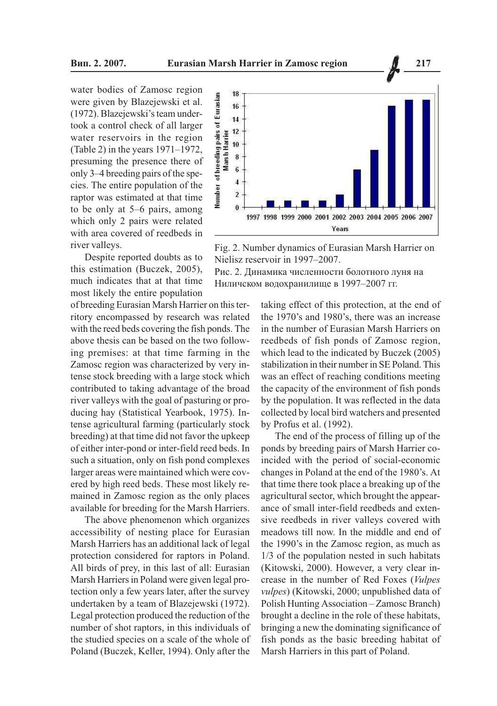water bodies of Zamosc region were given by Blazejewski et al. (1972). Blazejewski's team undertook a control check of all larger water reservoirs in the region (Table 2) in the years  $1971-1972$ , presuming the presence there of only 3–4 breeding pairs of the species. The entire population of the raptor was estimated at that time to be only at  $5-6$  pairs, among which only 2 pairs were related with area covered of reedbeds in river valleys.

Despite reported doubts as to this estimation (Buczek, 2005), much indicates that at that time most likely the entire population

of breeding Eurasian Marsh Harrier on this territory encompassed by research was related with the reed beds covering the fish ponds. The above thesis can be based on the two following premises: at that time farming in the Zamosc region was characterized by very intense stock breeding with a large stock which contributed to taking advantage of the broad river valleys with the goal of pasturing or producing hay (Statistical Yearbook, 1975). Intense agricultural farming (particularly stock breeding) at that time did not favor the upkeep of either inter-pond or inter-field reed beds. In such a situation, only on fish pond complexes larger areas were maintained which were covered by high reed beds. These most likely remained in Zamosc region as the only places available for breeding for the Marsh Harriers.

The above phenomenon which organizes accessibility of nesting place for Eurasian Marsh Harriers has an additional lack of legal protection considered for raptors in Poland. All birds of prey, in this last of all: Eurasian Marsh Harriers in Poland were given legal protection only a few years later, after the survey undertaken by a team of Blazejewski (1972). Legal protection produced the reduction of the number of shot raptors, in this individuals of the studied species on a scale of the whole of Poland (Buczek, Keller, 1994). Only after the



Fig. 2. Number dynamics of Eurasian Marsh Harrier on Nielisz reservoir in 1997-2007.

Рис. 2. Динамика численности болотного луня на Ниличском водохранилище в 1997-2007 гг.

> taking effect of this protection, at the end of the 1970's and 1980's, there was an increase in the number of Eurasian Marsh Harriers on reedbeds of fish ponds of Zamosc region, which lead to the indicated by Buczek (2005) stabilization in their number in SE Poland. This was an effect of reaching conditions meeting the capacity of the environment of fish ponds by the population. It was reflected in the data collected by local bird watchers and presented by Profus et al. (1992).

> The end of the process of filling up of the ponds by breeding pairs of Marsh Harrier coincided with the period of social-economic changes in Poland at the end of the 1980's. At that time there took place a breaking up of the agricultural sector, which brought the appearance of small inter-field reedbeds and extensive reedbeds in river valleys covered with meadows till now. In the middle and end of the 1990's in the Zamosc region, as much as 1/3 of the population nested in such habitats (Kitowski, 2000). However, a very clear increase in the number of Red Foxes (Vulpes vulpes) (Kitowski, 2000; unpublished data of Polish Hunting Association - Zamosc Branch) brought a decline in the role of these habitats, bringing a new the dominating significance of fish ponds as the basic breeding habitat of Marsh Harriers in this part of Poland.

217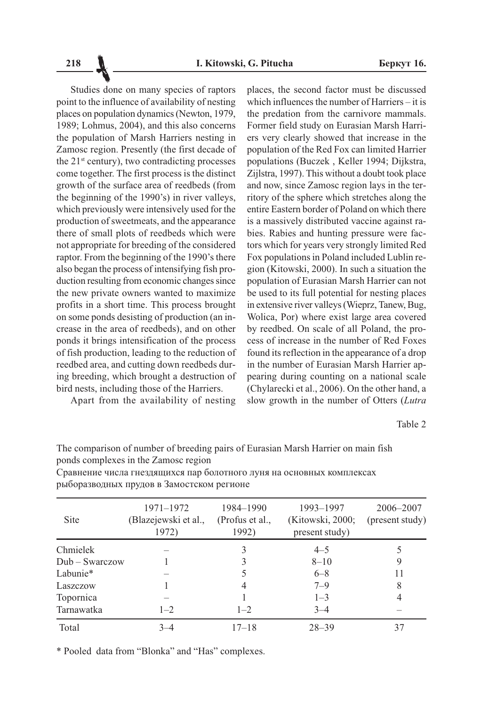Studies done on many species of raptors point to the influence of availability of nesting places on population dynamics (Newton, 1979, 1989; Lohmus, 2004), and this also concerns the population of Marsh Harriers nesting in Zamosc region. Presently (the first decade of the 21<sup>st</sup> century), two contradicting processes come together. The first process is the distinct growth of the surface area of reedbeds (from the beginning of the 1990's) in river valleys, which previously were intensively used for the production of sweetmeats, and the appearance there of small plots of reedbeds which were not appropriate for breeding of the considered raptor. From the beginning of the 1990's there also began the process of intensifying fish production resulting from economic changes since the new private owners wanted to maximize profits in a short time. This process brought on some ponds desisting of production (an increase in the area of reedbeds), and on other ponds it brings intensification of the process of fish production, leading to the reduction of reedbed area, and cutting down reedbeds during breeding, which brought a destruction of bird nests, including those of the Harriers.

Apart from the availability of nesting

places, the second factor must be discussed which influences the number of Harriers  $-$  it is the predation from the carnivore mammals. Former field study on Eurasian Marsh Harriers very clearly showed that increase in the population of the Red Fox can limited Harrier populations (Buczek, Keller 1994; Dijkstra, Zijlstra, 1997). This without a doubt took place and now, since Zamosc region lays in the territory of the sphere which stretches along the entire Eastern border of Poland on which there is a massively distributed vaccine against rabies. Rabies and hunting pressure were factors which for years very strongly limited Red Fox populations in Poland included Lublin region (Kitowski, 2000). In such a situation the population of Eurasian Marsh Harrier can not be used to its full potential for nesting places in extensive river valleys (Wieprz, Tanew, Bug, Wolica, Por) where exist large area covered by reedbed. On scale of all Poland, the process of increase in the number of Red Foxes found its reflection in the appearance of a drop in the number of Eurasian Marsh Harrier appearing during counting on a national scale (Chylarecki et al., 2006). On the other hand, a slow growth in the number of Otters (Lutra

Table 2

The comparison of number of breeding pairs of Eurasian Marsh Harrier on main fish ponds complexes in the Zamosc region

| <b>Site</b>      | 1971–1972<br>(Blazejewski et al.,<br>1972) | 1984–1990<br>(Profus et al.,<br>1992) | 1993-1997<br>(Kitowski, 2000;<br>present study) | 2006–2007<br>(present study) |
|------------------|--------------------------------------------|---------------------------------------|-------------------------------------------------|------------------------------|
| Chmielek         |                                            | 3                                     | $4 - 5$                                         |                              |
| $Dub - Swarczow$ |                                            |                                       | $8 - 10$                                        |                              |
| Labunie*         |                                            |                                       | $6 - 8$                                         |                              |
| Laszczow         |                                            |                                       | $7 - 9$                                         | 8                            |
| Topornica        |                                            |                                       | $1 - 3$                                         |                              |
| Tarnawatka       | $1 - 2$                                    | $1 - 2$                               | $3 - 4$                                         |                              |
| Total            | $3 - 4$                                    | $17 - 18$                             | $28 - 39$                                       | 37                           |
|                  |                                            |                                       |                                                 |                              |

Сравнение числа гнездящихся пар болотного луня на основных комплексах рыборазводных прудов в Замостском регионе

\* Pooled data from "Blonka" and "Has" complexes.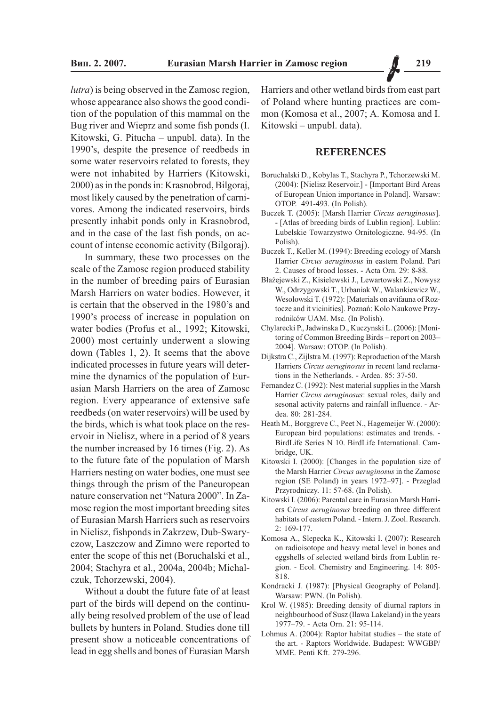*lutra*) is being observed in the Zamosc region, whose appearance also shows the good condition of the population of this mammal on the Bug river and Wieprz and some fish ponds (I. Kitowski, G. Pitucha – unpubl. data). In the 1990's, despite the presence of reedbeds in some water reservoirs related to forests, they were not inhabited by Harriers (Kitowski, 2000) as in the ponds in: Krasnobrod, Bilgoraj, most likely caused by the penetration of carnivores. Among the indicated reservoirs, birds presently inhabit ponds only in Krasnobrod, and in the case of the last fish ponds, on account of intense economic activity (Bilgoraj).

In summary, these two processes on the scale of the Zamosc region produced stability in the number of breeding pairs of Eurasian Marsh Harriers on water bodies. However, it is certain that the observed in the 1980's and 1990's process of increase in population on water bodies (Profus et al., 1992; Kitowski, 2000) most certainly underwent a slowing down (Tables 1, 2). It seems that the above indicated processes in future years will determine the dynamics of the population of Eurasian Marsh Harriers on the area of Zamosc region. Every appearance of extensive safe reedbeds (on water reservoirs) will be used by the birds, which is what took place on the reservoir in Nielisz, where in a period of 8 years the number increased by 16 times (Fig. 2). As to the future fate of the population of Marsh Harriers nesting on water bodies, one must see things through the prism of the Paneuropean nature conservation net "Natura 2000". In Zamosc region the most important breeding sites of Eurasian Marsh Harriers such as reservoirs in Nielisz, fishponds in Zakrzew, Dub-Swaryczow, Laszczow and Zimno were reported to enter the scope of this net (Boruchalski et al., 2004; Stachyra et al., 2004a, 2004b; Michalczuk, Tchorzewski, 2004).

Without a doubt the future fate of at least part of the birds will depend on the continually being resolved problem of the use of lead bullets by hunters in Poland. Studies done till present show a noticeable concentrations of lead in egg shells and bones of Eurasian Marsh

Harriers and other wetland birds from east part of Poland where hunting practices are common (Komosa et al., 2007; A. Komosa and I. Kitowski - unpubl. data).

## **REFERENCES**

- Boruchalski D., Kobylas T., Stachyra P., Tchorzewski M. (2004): [Nielisz Reservoir.] - [Important Bird Areas of European Union importance in Poland]. Warsaw: OTOP. 491-493. (In Polish).
- Buczek T. (2005): [Marsh Harrier Circus aeruginosus]. - [Atlas of breeding birds of Lublin region]. Lublin: Lubelskie Towarzystwo Ornitologiczne. 94-95. (In Polish)
- Buczek T., Keller M. (1994): Breeding ecology of Marsh Harrier Circus aeruginosus in eastern Poland. Part 2. Causes of brood losses. - Acta Orn. 29: 8-88.
- Błażejewski Z., Kisielewski J., Lewartowski Z., Nowysz W., Odrzygowski T., Urbaniak W., Walankiewicz W., Wesolowski T. (1972): [Materials on avifauna of Roztocze and it vicinities]. Poznań: Kolo Naukowe Przyrodników UAM. Msc. (In Polish).
- Chylarecki P., Jadwinska D., Kuczynski L. (2006): [Monitoring of Common Breeding Birds - report on 2003-2004]. Warsaw: OTOP. (In Polish).
- Dijkstra C., Zijlstra M. (1997): Reproduction of the Marsh Harriers Circus aeruginosus in recent land reclamations in the Netherlands. - Ardea. 85: 37-50.
- Fernandez C. (1992): Nest material supplies in the Marsh Harrier Circus aeruginosus: sexual roles, daily and sesonal activity paterns and rainfall influence. - Ardea. 80: 281-284.
- Heath M., Borggreve C., Peet N., Hagemeijer W. (2000): European bird populations: estimates and trends. -BirdLife Series N 10. BirdLife International. Cambridge, UK.
- Kitowski I. (2000): [Changes in the population size of the Marsh Harrier Circus aeruginosus in the Zamosc region (SE Poland) in years 1972-97]. - Przeglad Przyrodniczy. 11: 57-68. (In Polish).
- Kitowski I. (2006): Parental care in Eurasian Marsh Harriers Circus aeruginosus breeding on three different habitats of eastern Poland. - Intern. J. Zool. Research. 2: 169-177.
- Komosa A., Slepecka K., Kitowski I. (2007): Research on radioisotope and heavy metal level in bones and eggshells of selected wetland birds from Lublin region. - Ecol. Chemistry and Engineering. 14: 805-818
- Kondracki J. (1987): [Physical Geography of Poland]. Warsaw: PWN. (In Polish).
- Krol W. (1985): Breeding density of diurnal raptors in neighbourhood of Susz (Ilawa Lakeland) in the years 1977-79. - Acta Orn. 21: 95-114.
- Lohmus A.  $(2004)$ : Raptor habitat studies the state of the art. - Raptors Worldwide. Budapest: WWGBP/ MME. Penti Kft. 279-296.